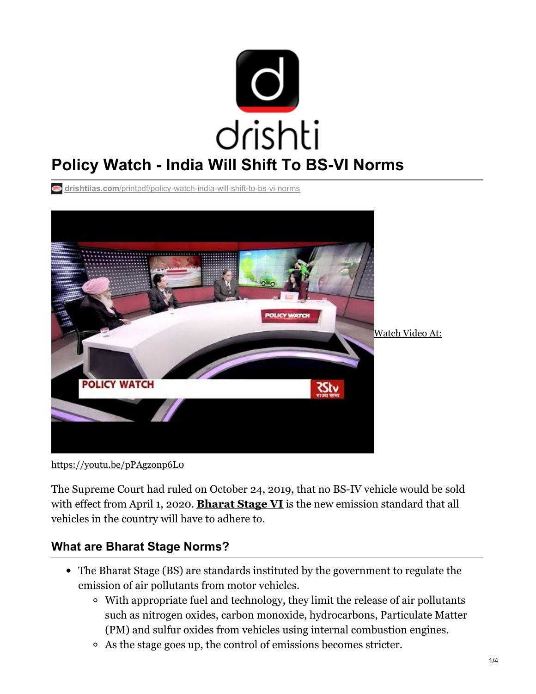

**drishtiias.com**[/printpdf/policy-watch-india-will-shift-to-bs-vi-norms](https://www.drishtiias.com/printpdf/policy-watch-india-will-shift-to-bs-vi-norms)



<https://youtu.be/pPAgzonp6L0>

The Supreme Court had ruled on October 24, 2019, that no BS-IV vehicle would be sold with effect from April 1, 2020. **[Bharat](https://www.drishtiias.com/daily-updates/daily-news-analysis/only-bs-vi-vehicles-to-be-sold-from-april-2020) Stage VI** is the new emission standard that all vehicles in the country will have to adhere to.

## **What are Bharat Stage Norms?**

- The Bharat Stage (BS) are standards instituted by the government to regulate the emission of air pollutants from motor vehicles.
	- With appropriate fuel and technology, they limit the release of air pollutants such as nitrogen oxides, carbon monoxide, hydrocarbons, Particulate Matter (PM) and sulfur oxides from vehicles using internal combustion engines.
	- As the stage goes up, the control of emissions becomes stricter.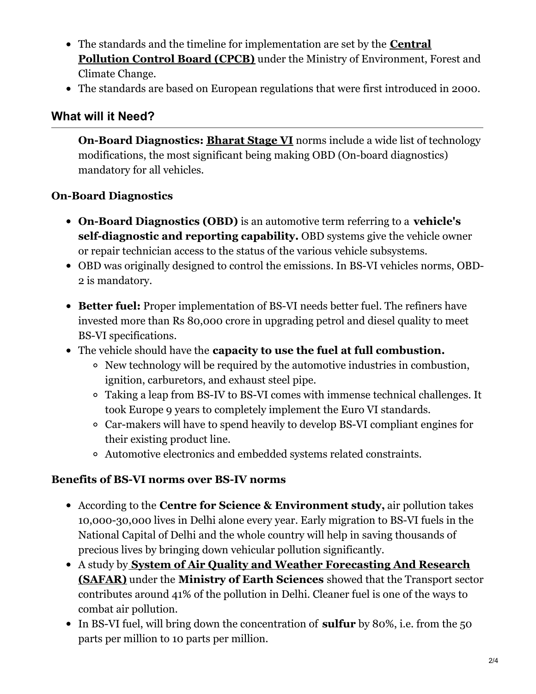- The standards and the timeline for [implementation](https://www.drishtiias.com/daily-updates/daily-news-analysis/reducing-so2-emissions) are set by the **Central Pollution Control Board (CPCB)** under the Ministry of Environment, Forest and Climate Change.
- The standards are based on European regulations that were first introduced in 2000.

### **What will it Need?**

**On-Board Diagnostics: [Bharat](https://www.drishtiias.com/loksabha-rajyasabha-discussions/in-depth-bs-vi-emission-norms) Stage VI** norms include a wide list of technology modifications, the most significant being making OBD (On-board diagnostics) mandatory for all vehicles.

### **On-Board Diagnostics**

- **On-Board Diagnostics (OBD)** is an automotive term referring to a **vehicle's self-diagnostic and reporting capability.** OBD systems give the vehicle owner or repair technician access to the status of the various vehicle subsystems.
- OBD was originally designed to control the emissions. In BS-VI vehicles norms, OBD-2 is mandatory.
- **Better fuel:** Proper implementation of BS-VI needs better fuel. The refiners have invested more than Rs 80,000 crore in upgrading petrol and diesel quality to meet BS-VI specifications.
- The vehicle should have the **capacity to use the fuel at full combustion.**
	- New technology will be required by the automotive industries in combustion, ignition, carburetors, and exhaust steel pipe.
	- Taking a leap from BS-IV to BS-VI comes with immense technical challenges. It took Europe 9 years to completely implement the Euro VI standards.
	- Car-makers will have to spend heavily to develop BS-VI compliant engines for their existing product line.
	- Automotive electronics and embedded systems related constraints.

### **Benefits of BS-VI norms over BS-IV norms**

- According to the **Centre for Science & Environment study,** air pollution takes 10,000-30,000 lives in Delhi alone every year. Early migration to BS-VI fuels in the National Capital of Delhi and the whole country will help in saving thousands of precious lives by bringing down vehicular pollution significantly.
- A study by **System of Air Quality and Weather [Forecasting](https://www.drishtiias.com/daily-updates/daily-news-analysis/safar) And Research (SAFAR)** under the **Ministry of Earth Sciences** showed that the Transport sector contributes around 41% of the pollution in Delhi. Cleaner fuel is one of the ways to combat air pollution.
- In BS-VI fuel, will bring down the concentration of **sulfur** by 80%, i.e. from the 50 parts per million to 10 parts per million.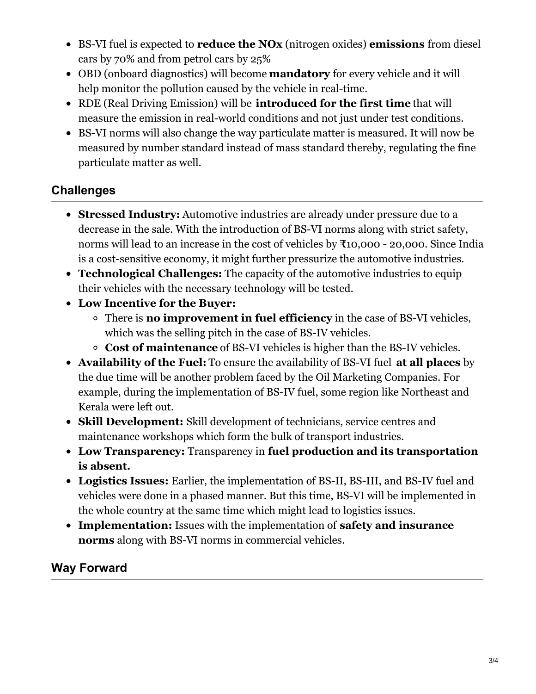- BS-VI fuel is expected to **reduce the NOx** (nitrogen oxides) **emissions** from diesel cars by 70% and from petrol cars by 25%
- OBD (onboard diagnostics) will become **mandatory** for every vehicle and it will help monitor the pollution caused by the vehicle in real-time.
- RDE (Real Driving Emission) will be **introduced for the first time** that will measure the emission in real-world conditions and not just under test conditions.
- BS-VI norms will also change the way particulate matter is measured. It will now be measured by number standard instead of mass standard thereby, regulating the fine particulate matter as well.

# **Challenges**

- **Stressed Industry:** Automotive industries are already under pressure due to a decrease in the sale. With the introduction of BS-VI norms along with strict safety, norms will lead to an increase in the cost of vehicles by ₹10,000 - 20,000. Since India is a cost-sensitive economy, it might further pressurize the automotive industries.
- **Technological Challenges:** The capacity of the automotive industries to equip their vehicles with the necessary technology will be tested.
- **Low Incentive for the Buyer:**
	- There is **no improvement in fuel efficiency** in the case of BS-VI vehicles, which was the selling pitch in the case of BS-IV vehicles.
	- **Cost of maintenance** of BS-VI vehicles is higher than the BS-IV vehicles.
- **Availability of the Fuel:** To ensure the availability of BS-VI fuel **at all places** by the due time will be another problem faced by the Oil Marketing Companies. For example, during the implementation of BS-IV fuel, some region like Northeast and Kerala were left out.
- **Skill Development:** Skill development of technicians, service centres and maintenance workshops which form the bulk of transport industries.
- **Low Transparency:** Transparency in **fuel production and its transportation is absent.**
- **Logistics Issues:** Earlier, the implementation of BS-II, BS-III, and BS-IV fuel and vehicles were done in a phased manner. But this time, BS-VI will be implemented in the whole country at the same time which might lead to logistics issues.
- **Implementation:** Issues with the implementation of **safety and insurance norms** along with BS-VI norms in commercial vehicles.

### **Way Forward**